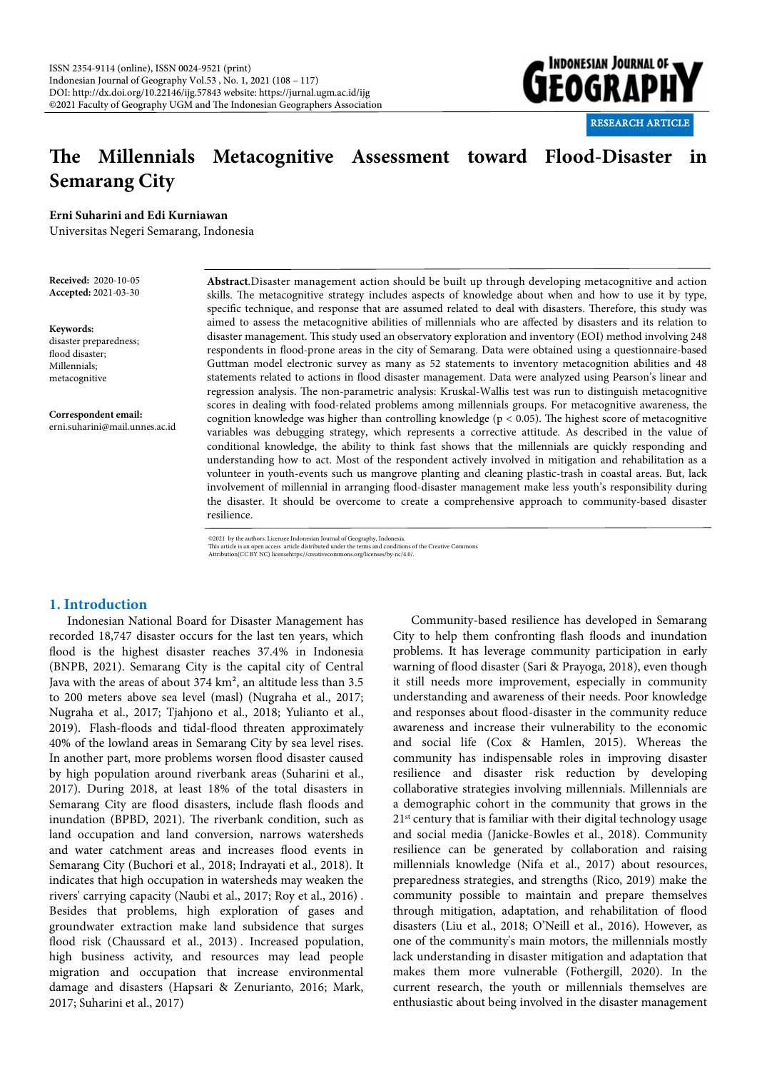

# **e Millennials Metacognitive Assessment toward Flood-Disaster in Semarang City**

**Erni Suharini and Edi Kurniawan**

Universitas Negeri Semarang, Indonesia

**Received:** 2020-10-05 **Accepted:** 2021-03-30

**Keywords:**  disaster preparedness;

flood disaster; Millennials; metacognitive

**Correspondent email:** erni.suharini@mail.unnes.ac.id **Abstract**.Disaster management action should be built up through developing metacognitive and action skills. The metacognitive strategy includes aspects of knowledge about when and how to use it by type, specific technique, and response that are assumed related to deal with disasters. Therefore, this study was aimed to assess the metacognitive abilities of millennials who are affected by disasters and its relation to disaster management. This study used an observatory exploration and inventory (EOI) method involving 248 respondents in flood-prone areas in the city of Semarang. Data were obtained using a questionnaire-based Guttman model electronic survey as many as 52 statements to inventory metacognition abilities and 48 statements related to actions in flood disaster management. Data were analyzed using Pearson's linear and regression analysis. The non-parametric analysis: Kruskal-Wallis test was run to distinguish metacognitive scores in dealing with food-related problems among millennials groups. For metacognitive awareness, the cognition knowledge was higher than controlling knowledge ( $p < 0.05$ ). The highest score of metacognitive variables was debugging strategy, which represents a corrective attitude. As described in the value of conditional knowledge, the ability to think fast shows that the millennials are quickly responding and understanding how to act. Most of the respondent actively involved in mitigation and rehabilitation as a volunteer in youth-events such us mangrove planting and cleaning plastic-trash in coastal areas. But, lack involvement of millennial in arranging flood-disaster management make less youth's responsibility during the disaster. It should be overcome to create a comprehensive approach to community-based disaster resilience.

@2021 by the authors. Licensee Indonesian Journal of Geography, Indonesia.<br>This article is an open access article distributed under the terms and conditions of the Creative Commons<br>Attribution(CC BY NC) licensehttps://crea

## **1. Introduction**

Indonesian National Board for Disaster Management has recorded 18,747 disaster occurs for the last ten years, which flood is the highest disaster reaches 37.4% in Indonesia (BNPB, 2021). Semarang City is the capital city of Central Java with the areas of about 374 km², an altitude less than 3.5 to 200 meters above sea level (masl) (Nugraha et al., 2017; Nugraha et al., 2017; Tjahjono et al., 2018; Yulianto et al., 2019). Flash-floods and tidal-flood threaten approximately 40% of the lowland areas in Semarang City by sea level rises. In another part, more problems worsen flood disaster caused by high population around riverbank areas (Suharini et al., 2017). During 2018, at least 18% of the total disasters in Semarang City are flood disasters, include flash floods and inundation (BPBD, 2021). The riverbank condition, such as land occupation and land conversion, narrows watersheds and water catchment areas and increases flood events in Semarang City (Buchori et al., 2018; Indrayati et al., 2018). It indicates that high occupation in watersheds may weaken the rivers' carrying capacity (Naubi et al., 2017; Roy et al., 2016) . Besides that problems, high exploration of gases and groundwater extraction make land subsidence that surges flood risk (Chaussard et al., 2013). Increased population, high business activity, and resources may lead people migration and occupation that increase environmental damage and disasters (Hapsari & Zenurianto, 2016; Mark, 2017; Suharini et al., 2017)

Community-based resilience has developed in Semarang City to help them confronting flash floods and inundation problems. It has leverage community participation in early warning of flood disaster (Sari & Prayoga, 2018), even though it still needs more improvement, especially in community understanding and awareness of their needs. Poor knowledge and responses about flood-disaster in the community reduce awareness and increase their vulnerability to the economic and social life (Cox & Hamlen, 2015). Whereas the community has indispensable roles in improving disaster resilience and disaster risk reduction by developing collaborative strategies involving millennials. Millennials are a demographic cohort in the community that grows in the 21<sup>st</sup> century that is familiar with their digital technology usage and social media (Janicke-Bowles et al., 2018). Community resilience can be generated by collaboration and raising millennials knowledge (Nifa et al., 2017) about resources, preparedness strategies, and strengths (Rico, 2019) make the community possible to maintain and prepare themselves through mitigation, adaptation, and rehabilitation of flood disasters (Liu et al., 2018; O'Neill et al., 2016). However, as one of the community's main motors, the millennials mostly lack understanding in disaster mitigation and adaptation that makes them more vulnerable (Fothergill, 2020). In the current research, the youth or millennials themselves are enthusiastic about being involved in the disaster management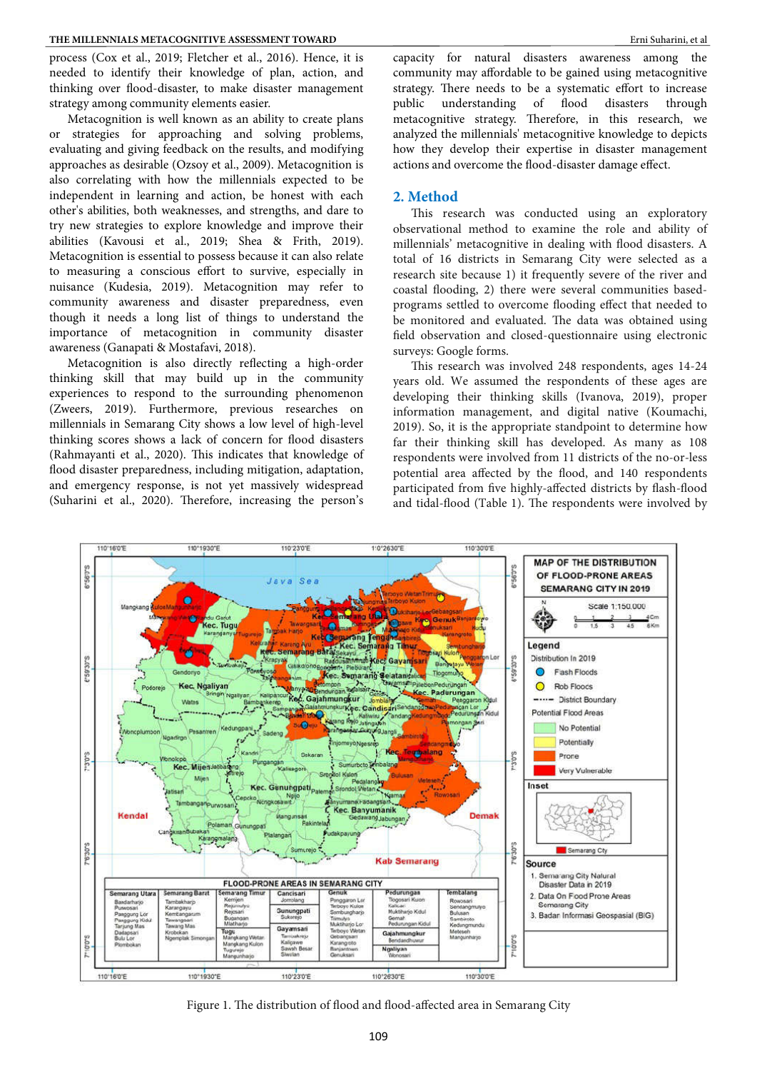process (Cox et al., 2019; Fletcher et al., 2016). Hence, it is needed to identify their knowledge of plan, action, and thinking over flood-disaster, to make disaster management strategy among community elements easier.

Metacognition is well known as an ability to create plans or strategies for approaching and solving problems, evaluating and giving feedback on the results, and modifying approaches as desirable (Ozsoy et al., 2009). Metacognition is also correlating with how the millennials expected to be independent in learning and action, be honest with each other's abilities, both weaknesses, and strengths, and dare to try new strategies to explore knowledge and improve their abilities (Kavousi et al., 2019; Shea & Frith, 2019). Metacognition is essential to possess because it can also relate to measuring a conscious effort to survive, especially in nuisance (Kudesia, 2019). Metacognition may refer to community awareness and disaster preparedness, even though it needs a long list of things to understand the importance of metacognition in community disaster awareness (Ganapati & Mostafavi, 2018).

Metacognition is also directly reflecting a high-order thinking skill that may build up in the community experiences to respond to the surrounding phenomenon (Zweers, 2019). Furthermore, previous researches on millennials in Semarang City shows a low level of high-level thinking scores shows a lack of concern for flood disasters (Rahmayanti et al., 2020). This indicates that knowledge of flood disaster preparedness, including mitigation, adaptation, and emergency response, is not yet massively widespread (Suharini et al., 2020). Therefore, increasing the person's

capacity for natural disasters awareness among the community may affordable to be gained using metacognitive strategy. There needs to be a systematic effort to increase public understanding of flood disasters through metacognitive strategy. Therefore, in this research, we analyzed the millennials' metacognitive knowledge to depicts how they develop their expertise in disaster management actions and overcome the flood-disaster damage effect.

#### **2. Method**

This research was conducted using an exploratory observational method to examine the role and ability of millennials' metacognitive in dealing with flood disasters. A total of 16 districts in Semarang City were selected as a research site because 1) it frequently severe of the river and coastal flooding, 2) there were several communities basedprograms settled to overcome flooding effect that needed to be monitored and evaluated. The data was obtained using field observation and closed-questionnaire using electronic surveys: Google forms.

This research was involved 248 respondents, ages 14-24 years old. We assumed the respondents of these ages are developing their thinking skills (Ivanova, 2019), proper information management, and digital native (Koumachi, 2019). So, it is the appropriate standpoint to determine how far their thinking skill has developed. As many as 108 respondents were involved from 11 districts of the no-or-less potential area affected by the flood, and 140 respondents participated from five highly-affected districts by flash-flood and tidal-flood (Table 1). The respondents were involved by



Figure 1. The distribution of flood and flood-affected area in Semarang City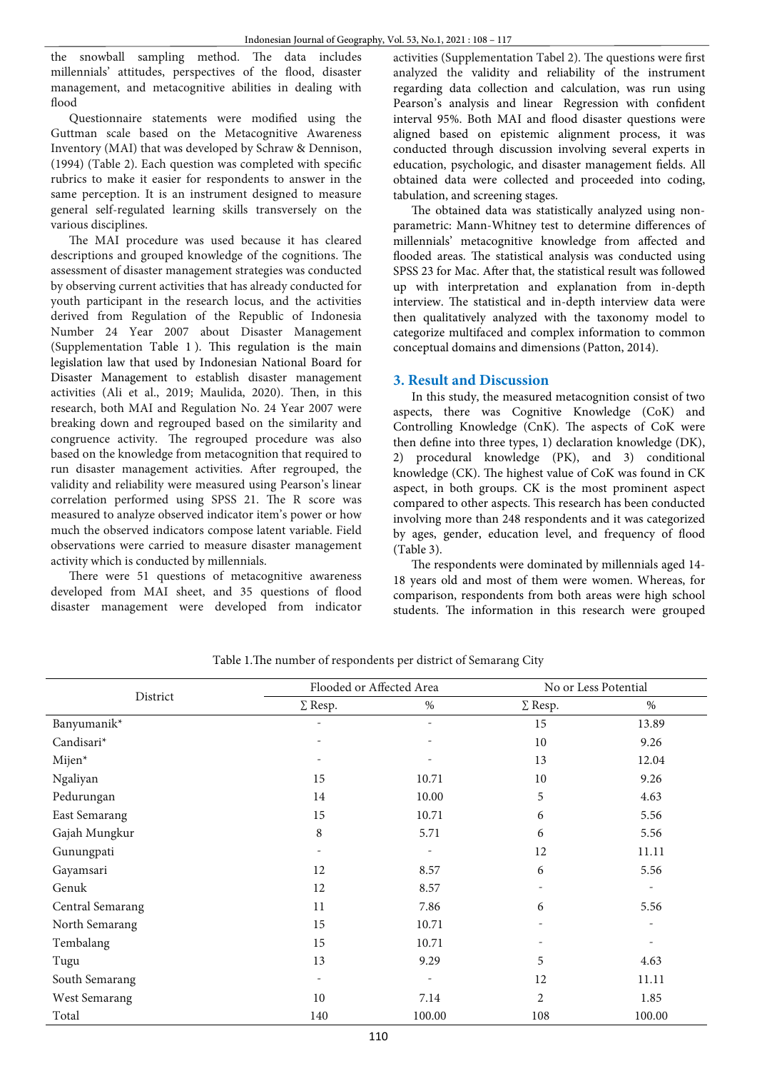the snowball sampling method. The data includes millennials' attitudes, perspectives of the flood, disaster management, and metacognitive abilities in dealing with flood

Questionnaire statements were modified using the Guttman scale based on the Metacognitive Awareness Inventory (MAI) that was developed by Schraw & Dennison,  $(1994)$  (Table 2). Each question was completed with specific rubrics to make it easier for respondents to answer in the same perception. It is an instrument designed to measure general self-regulated learning skills transversely on the various disciplines.

The MAI procedure was used because it has cleared descriptions and grouped knowledge of the cognitions. The assessment of disaster management strategies was conducted by observing current activities that has already conducted for youth participant in the research locus, and the activities derived from Regulation of the Republic of Indonesia Number 24 Year 2007 about Disaster Management (Supplementation Table  $1$ ). This regulation is the main legislation law that used by Indonesian National Board for Disaster Management to establish disaster management activities (Ali et al., 2019; Maulida, 2020). Then, in this research, both MAI and Regulation No. 24 Year 2007 were breaking down and regrouped based on the similarity and congruence activity. The regrouped procedure was also based on the knowledge from metacognition that required to run disaster management activities. After regrouped, the validity and reliability were measured using Pearson's linear correlation performed using SPSS 21. The R score was measured to analyze observed indicator item's power or how much the observed indicators compose latent variable. Field observations were carried to measure disaster management activity which is conducted by millennials.

There were 51 questions of metacognitive awareness developed from MAI sheet, and 35 questions of flood disaster management were developed from indicator

activities (Supplementation Tabel 2). The questions were first analyzed the validity and reliability of the instrument regarding data collection and calculation, was run using Pearson's analysis and linear Regression with confident interval 95%. Both MAI and flood disaster questions were aligned based on epistemic alignment process, it was conducted through discussion involving several experts in education, psychologic, and disaster management fields. All obtained data were collected and proceeded into coding, tabulation, and screening stages.

The obtained data was statistically analyzed using nonparametric: Mann-Whitney test to determine differences of millennials' metacognitive knowledge from affected and flooded areas. The statistical analysis was conducted using SPSS 23 for Mac. After that, the statistical result was followed up with interpretation and explanation from in-depth interview. The statistical and in-depth interview data were then qualitatively analyzed with the taxonomy model to categorize multifaced and complex information to common conceptual domains and dimensions (Patton, 2014).

# **3. Result and Discussion**

In this study, the measured metacognition consist of two aspects, there was Cognitive Knowledge (CoK) and Controlling Knowledge (CnK). The aspects of CoK were then define into three types,  $1)$  declaration knowledge (DK), 2) procedural knowledge (PK), and 3) conditional knowledge (CK). The highest value of CoK was found in CK aspect, in both groups. CK is the most prominent aspect compared to other aspects. This research has been conducted involving more than 248 respondents and it was categorized by ages, gender, education level, and frequency of flood (Table 3).

The respondents were dominated by millennials aged 14-18 years old and most of them were women. Whereas, for comparison, respondents from both areas were high school students. The information in this research were grouped

|                  |                          | Flooded or Affected Area |                | No or Less Potential |
|------------------|--------------------------|--------------------------|----------------|----------------------|
| District         | $\Sigma$ Resp.           | $\%$                     | $\Sigma$ Resp. | $\%$                 |
| Banyumanik*      | ٠                        | $\overline{\phantom{a}}$ | 15             | 13.89                |
| Candisari*       |                          |                          | 10             | 9.26                 |
| Mijen*           |                          |                          | 13             | 12.04                |
| Ngaliyan         | 15                       | 10.71                    | 10             | 9.26                 |
| Pedurungan       | 14                       | 10.00                    | 5              | 4.63                 |
| East Semarang    | 15                       | 10.71                    | 6              | 5.56                 |
| Gajah Mungkur    | 8                        | 5.71                     | 6              | 5.56                 |
| Gunungpati       |                          |                          | 12             | 11.11                |
| Gayamsari        | 12                       | 8.57                     | 6              | 5.56                 |
| Genuk            | 12                       | 8.57                     |                |                      |
| Central Semarang | 11                       | 7.86                     | 6              | 5.56                 |
| North Semarang   | 15                       | 10.71                    |                |                      |
| Tembalang        | 15                       | 10.71                    |                |                      |
| Tugu             | 13                       | 9.29                     | 5              | 4.63                 |
| South Semarang   | $\overline{\phantom{a}}$ | $\overline{\phantom{a}}$ | 12             | 11.11                |
| West Semarang    | 10                       | 7.14                     | 2              | 1.85                 |
| Total            | 140                      | 100.00                   | 108            | 100.00               |

Table 1. The number of respondents per district of Semarang City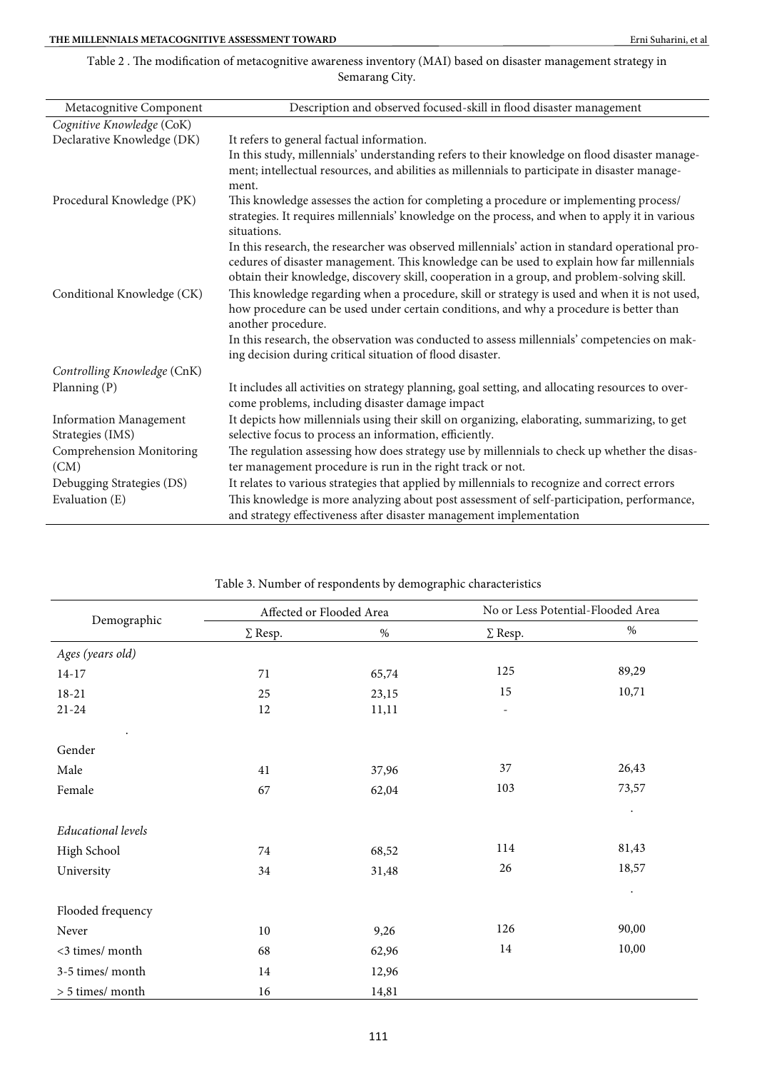## Table 2. The modification of metacognitive awareness inventory (MAI) based on disaster management strategy in Semarang City.

| Metacognitive Component          | Description and observed focused-skill in flood disaster management                                                                                                                                                                                                                                                                                                       |
|----------------------------------|---------------------------------------------------------------------------------------------------------------------------------------------------------------------------------------------------------------------------------------------------------------------------------------------------------------------------------------------------------------------------|
| Cognitive Knowledge (CoK)        |                                                                                                                                                                                                                                                                                                                                                                           |
| Declarative Knowledge (DK)       | It refers to general factual information.                                                                                                                                                                                                                                                                                                                                 |
|                                  | In this study, millennials' understanding refers to their knowledge on flood disaster manage-<br>ment; intellectual resources, and abilities as millennials to participate in disaster manage-<br>ment.                                                                                                                                                                   |
| Procedural Knowledge (PK)        | This knowledge assesses the action for completing a procedure or implementing process/<br>strategies. It requires millennials' knowledge on the process, and when to apply it in various<br>situations.                                                                                                                                                                   |
|                                  | In this research, the researcher was observed millennials' action in standard operational pro-<br>cedures of disaster management. This knowledge can be used to explain how far millennials<br>obtain their knowledge, discovery skill, cooperation in a group, and problem-solving skill.                                                                                |
| Conditional Knowledge (CK)       | This knowledge regarding when a procedure, skill or strategy is used and when it is not used,<br>how procedure can be used under certain conditions, and why a procedure is better than<br>another procedure.<br>In this research, the observation was conducted to assess millennials' competencies on mak-<br>ing decision during critical situation of flood disaster. |
| Controlling Knowledge (CnK)      |                                                                                                                                                                                                                                                                                                                                                                           |
| Planning (P)                     | It includes all activities on strategy planning, goal setting, and allocating resources to over-<br>come problems, including disaster damage impact                                                                                                                                                                                                                       |
| <b>Information Management</b>    | It depicts how millennials using their skill on organizing, elaborating, summarizing, to get                                                                                                                                                                                                                                                                              |
| Strategies (IMS)                 | selective focus to process an information, efficiently.                                                                                                                                                                                                                                                                                                                   |
| Comprehension Monitoring<br>(CM) | The regulation assessing how does strategy use by millennials to check up whether the disas-<br>ter management procedure is run in the right track or not.                                                                                                                                                                                                                |
| Debugging Strategies (DS)        | It relates to various strategies that applied by millennials to recognize and correct errors                                                                                                                                                                                                                                                                              |
| Evaluation (E)                   | This knowledge is more analyzing about post assessment of self-participation, performance,<br>and strategy effectiveness after disaster management implementation                                                                                                                                                                                                         |

|                    | Affected or Flooded Area |       |                          | No or Less Potential-Flooded Area |
|--------------------|--------------------------|-------|--------------------------|-----------------------------------|
| Demographic        | $\Sigma$ Resp.           | $\%$  | $\Sigma$ Resp.           | %                                 |
| Ages (years old)   |                          |       |                          |                                   |
| $14 - 17$          | 71                       | 65,74 | 125                      | 89,29                             |
| $18 - 21$          | 25                       | 23,15 | 15                       | 10,71                             |
| $21 - 24$          | 12                       | 11,11 | $\overline{\phantom{a}}$ |                                   |
| $\bullet$          |                          |       |                          |                                   |
| Gender             |                          |       |                          |                                   |
| Male               | $41\,$                   | 37,96 | 37                       | 26,43                             |
| Female             | 67                       | 62,04 | 103                      | 73,57                             |
|                    |                          |       |                          | $\bullet$                         |
| Educational levels |                          |       |                          |                                   |
| High School        | 74                       | 68,52 | 114                      | 81,43                             |
| University         | 34                       | 31,48 | 26                       | 18,57                             |
|                    |                          |       |                          | $\bullet$                         |
| Flooded frequency  |                          |       |                          |                                   |
| Never              | 10                       | 9,26  | 126                      | 90,00                             |
| <3 times/ month    | 68                       | 62,96 | 14                       | 10,00                             |
| 3-5 times/ month   | 14                       | 12,96 |                          |                                   |
| > 5 times/ month   | 16                       | 14,81 |                          |                                   |

## Table 3. Number of respondents by demographic characteristics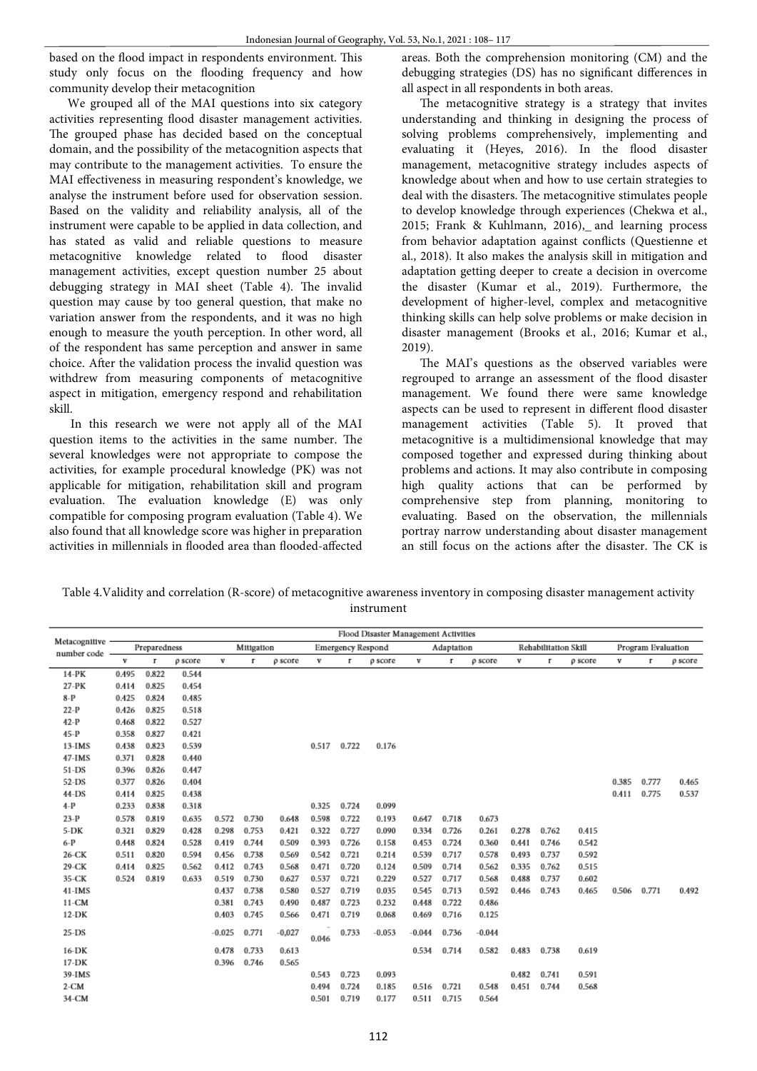based on the flood impact in respondents environment. This study only focus on the flooding frequency and how community develop their metacognition

We grouped all of the MAI questions into six category activities representing flood disaster management activities. The grouped phase has decided based on the conceptual domain, and the possibility of the metacognition aspects that may contribute to the management activities. To ensure the MAI effectiveness in measuring respondent's knowledge, we analyse the instrument before used for observation session. Based on the validity and reliability analysis, all of the instrument were capable to be applied in data collection, and has stated as valid and reliable questions to measure metacognitive knowledge related to flood disaster management activities, except question number 25 about debugging strategy in MAI sheet (Table 4). The invalid question may cause by too general question, that make no variation answer from the respondents, and it was no high enough to measure the youth perception. In other word, all of the respondent has same perception and answer in same choice. After the validation process the invalid question was withdrew from measuring components of metacognitive aspect in mitigation, emergency respond and rehabilitation skill.

In this research we were not apply all of the MAI question items to the activities in the same number. The several knowledges were not appropriate to compose the activities, for example procedural knowledge (PK) was not applicable for mitigation, rehabilitation skill and program evaluation. The evaluation knowledge (E) was only compatible for composing program evaluation (Table 4). We also found that all knowledge score was higher in preparation activities in millennials in flooded area than flooded-affected

areas. Both the comprehension monitoring (CM) and the debugging strategies (DS) has no significant differences in all aspect in all respondents in both areas.

The metacognitive strategy is a strategy that invites understanding and thinking in designing the process of solving problems comprehensively, implementing and evaluating it (Heyes,  $2016$ ). In the flood disaster management, metacognitive strategy includes aspects of knowledge about when and how to use certain strategies to deal with the disasters. The metacognitive stimulates people to develop knowledge through experiences (Chekwa et al., 2015; Frank & Kuhlmann, 2016), and learning process from behavior adaptation against conflicts (Questienne et al., 2018). It also makes the analysis skill in mitigation and adaptation getting deeper to create a decision in overcome the disaster (Kumar et al., 2019). Furthermore, the development of higher-level, complex and metacognitive thinking skills can help solve problems or make decision in disaster management (Brooks et al., 2016; Kumar et al., 2019).

The MAI's questions as the observed variables were regrouped to arrange an assessment of the flood disaster management. We found there were same knowledge aspects can be used to represent in different flood disaster management activities (Table 5). It proved that metacognitive is a multidimensional knowledge that may composed together and expressed during thinking about problems and actions. It may also contribute in composing high quality actions that can be performed by comprehensive step from planning, monitoring to evaluating. Based on the observation, the millennials portray narrow understanding about disaster management an still focus on the actions after the disaster. The CK is

| Table 4. Validity and correlation (R-score) of metacognitive awareness inventory in composing disaster management activity |
|----------------------------------------------------------------------------------------------------------------------------|
| instrument                                                                                                                 |

|                                |       |              |         |          |            |          |       |                          | Flood Disaster Management Activities |          |            |          |       |                      |         |       |                    |         |
|--------------------------------|-------|--------------|---------|----------|------------|----------|-------|--------------------------|--------------------------------------|----------|------------|----------|-------|----------------------|---------|-------|--------------------|---------|
| Metacognitive<br>number code - |       | Preparedness |         |          | Mitigation |          |       | <b>Emergency Respond</b> |                                      |          | Adaptation |          |       | Rehabilitation Skill |         |       | Program Evaluation |         |
|                                | v     | г            | p score | v        | г          | p score  | v     | г                        | p score                              | v        | r          | p score  | v     | г                    | p score | v     | г                  | p score |
| 14-PK                          | 0.495 | 0.822        | 0.544   |          |            |          |       |                          |                                      |          |            |          |       |                      |         |       |                    |         |
| 27-PK                          | 0.414 | 0.825        | 0.454   |          |            |          |       |                          |                                      |          |            |          |       |                      |         |       |                    |         |
| $8-P$                          | 0.425 | 0.824        | 0.485   |          |            |          |       |                          |                                      |          |            |          |       |                      |         |       |                    |         |
| $22-P$                         | 0.426 | 0.825        | 0.518   |          |            |          |       |                          |                                      |          |            |          |       |                      |         |       |                    |         |
| $42-P$                         | 0.468 | 0.822        | 0.527   |          |            |          |       |                          |                                      |          |            |          |       |                      |         |       |                    |         |
| $45-P$                         | 0.358 | 0.827        | 0.421   |          |            |          |       |                          |                                      |          |            |          |       |                      |         |       |                    |         |
| $13$ -IMS                      | 0.438 | 0.823        | 0.539   |          |            |          | 0.517 | 0.722                    | 0.176                                |          |            |          |       |                      |         |       |                    |         |
| $47$ -IMS                      | 0.371 | 0.828        | 0.440   |          |            |          |       |                          |                                      |          |            |          |       |                      |         |       |                    |         |
| 51-DS                          | 0.396 | 0.826        | 0.447   |          |            |          |       |                          |                                      |          |            |          |       |                      |         |       |                    |         |
| 52-DS                          | 0.377 | 0.826        | 0.404   |          |            |          |       |                          |                                      |          |            |          |       |                      |         | 0.385 | 0.777              | 0.465   |
| 44-DS                          | 0.414 | 0.825        | 0.438   |          |            |          |       |                          |                                      |          |            |          |       |                      |         | 0.411 | 0.775              | 0.537   |
| $4-P$                          | 0.233 | 0.838        | 0.318   |          |            |          | 0.325 | 0.724                    | 0.099                                |          |            |          |       |                      |         |       |                    |         |
| $23-P$                         | 0.578 | 0.819        | 0.635   | 0.572    | 0.730      | 0.648    | 0.598 | 0.722                    | 0.193                                | 0.647    | 0.718      | 0.673    |       |                      |         |       |                    |         |
| 5-DK                           | 0.321 | 0.829        | 0.428   | 0.298    | 0.753      | 0.421    | 0.322 | 0.727                    | 0.090                                | 0.334    | 0.726      | 0.261    | 0.278 | 0.762                | 0.415   |       |                    |         |
| $6-P$                          | 0.448 | 0.824        | 0.528   | 0.419    | 0.744      | 0.509    | 0.393 | 0.726                    | 0.158                                | 0.453    | 0.724      | 0.360    | 0.441 | 0.746                | 0.542   |       |                    |         |
| 26-CK                          | 0.511 | 0.820        | 0.594   | 0.456    | 0.738      | 0.569    | 0.542 | 0.721                    | 0.214                                | 0.539    | 0.717      | 0.578    | 0.493 | 0.737                | 0.592   |       |                    |         |
| 29-CK                          | 0.414 | 0.825        | 0.562   | 0.412    | 0.743      | 0.568    | 0.471 | 0.720                    | 0.124                                | 0.509    | 0.714      | 0.562    | 0.335 | 0.762                | 0.515   |       |                    |         |
| 35-CK                          | 0.524 | 0.819        | 0.633   | 0.519    | 0.730      | 0.627    | 0.537 | 0.721                    | 0.229                                | 0.527    | 0.717      | 0.568    | 0.488 | 0.737                | 0.602   |       |                    |         |
| $41$ -IMS                      |       |              |         | 0.437    | 0.738      | 0.580    | 0.527 | 0.719                    | 0.035                                | 0.545    | 0.713      | 0.592    | 0.446 | 0.743                | 0.465   | 0.506 | 0.771              | 0.492   |
| $11 - CM$                      |       |              |         | 0.381    | 0.743      | 0.490    | 0.487 | 0.723                    | 0.232                                | 0.448    | 0.722      | 0.486    |       |                      |         |       |                    |         |
| $12-DK$                        |       |              |         | 0.403    | 0.745      | 0.566    | 0.471 | 0.719                    | 0.068                                | 0.469    | 0.716      | 0.125    |       |                      |         |       |                    |         |
| $25-DS$                        |       |              |         | $-0.025$ | 0.771      | $-0,027$ | 0.046 | 0.733                    | $-0.053$                             | $-0.044$ | 0.736      | $-0.044$ |       |                      |         |       |                    |         |
| $16-DK$                        |       |              |         | 0.478    | 0.733      | 0.613    |       |                          |                                      | 0.534    | 0.714      | 0.582    | 0.483 | 0.738                | 0.619   |       |                    |         |
| $17-DK$                        |       |              |         | 0.396    | 0.746      | 0.565    |       |                          |                                      |          |            |          |       |                      |         |       |                    |         |
| 39-IMS                         |       |              |         |          |            |          | 0.543 | 0.723                    | 0.093                                |          |            |          | 0.482 | 0.741                | 0.591   |       |                    |         |
| $2-CM$                         |       |              |         |          |            |          | 0.494 | 0.724                    | 0.185                                | 0.516    | 0.721      | 0.548    | 0.451 | 0.744                | 0.568   |       |                    |         |
| 34-CM                          |       |              |         |          |            |          | 0.501 | 0.719                    | 0.177                                | 0.511    | 0.715      | 0.564    |       |                      |         |       |                    |         |
|                                |       |              |         |          |            |          |       |                          |                                      |          |            |          |       |                      |         |       |                    |         |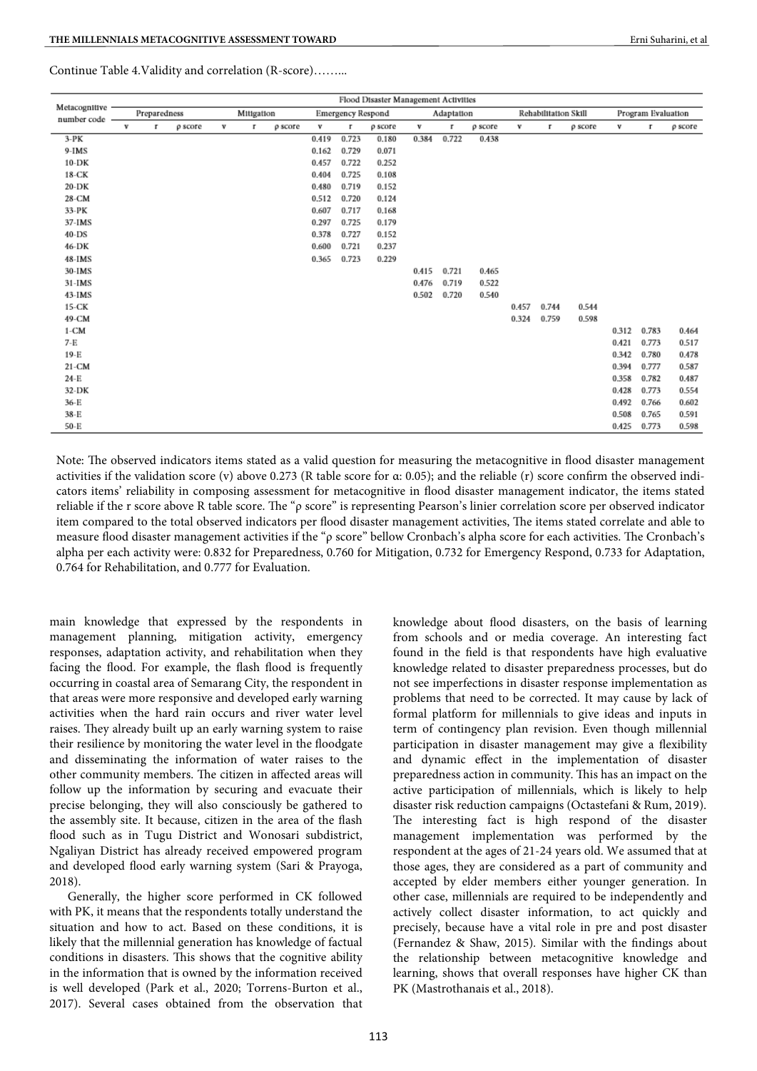|                              |   |              |         |   |            |         |       |                          | Flood Disaster Management Activities |       |            |         |       |                      |         |       |                    |         |
|------------------------------|---|--------------|---------|---|------------|---------|-------|--------------------------|--------------------------------------|-------|------------|---------|-------|----------------------|---------|-------|--------------------|---------|
| Metacognitive<br>number code |   | Preparedness |         |   | Mitigation |         |       | <b>Emergency Respond</b> |                                      |       | Adaptation |         |       | Rehabilitation Skill |         |       | Program Evaluation |         |
|                              | v | г            | p score | v | г          | p score | v     | г                        | p score                              | v     | г          | p score | v     | г                    | p score | v     | г                  | p score |
| $3-PK$                       |   |              |         |   |            |         | 0.419 | 0.723                    | 0.180                                | 0.384 | 0.722      | 0.438   |       |                      |         |       |                    |         |
| 9-IMS                        |   |              |         |   |            |         | 0.162 | 0.729                    | 0.071                                |       |            |         |       |                      |         |       |                    |         |
| $10-DK$                      |   |              |         |   |            |         | 0.457 | 0.722                    | 0.252                                |       |            |         |       |                      |         |       |                    |         |
| 18-CK                        |   |              |         |   |            |         | 0.404 | 0.725                    | 0.108                                |       |            |         |       |                      |         |       |                    |         |
| 20-DK                        |   |              |         |   |            |         | 0.480 | 0.719                    | 0.152                                |       |            |         |       |                      |         |       |                    |         |
| 28-CM                        |   |              |         |   |            |         | 0.512 | 0.720                    | 0.124                                |       |            |         |       |                      |         |       |                    |         |
| 33-PK                        |   |              |         |   |            |         | 0.607 | 0.717                    | 0.168                                |       |            |         |       |                      |         |       |                    |         |
| 37-IMS                       |   |              |         |   |            |         | 0.297 | 0.725                    | 0.179                                |       |            |         |       |                      |         |       |                    |         |
| 40-DS                        |   |              |         |   |            |         | 0.378 | 0.727                    | 0.152                                |       |            |         |       |                      |         |       |                    |         |
| 46-DK                        |   |              |         |   |            |         | 0.600 | 0.721                    | 0.237                                |       |            |         |       |                      |         |       |                    |         |
| 48-IMS                       |   |              |         |   |            |         | 0.365 | 0.723                    | 0.229                                |       |            |         |       |                      |         |       |                    |         |
| 30-IMS                       |   |              |         |   |            |         |       |                          |                                      | 0.415 | 0.721      | 0.465   |       |                      |         |       |                    |         |
| $31$ -IMS                    |   |              |         |   |            |         |       |                          |                                      | 0.476 | 0.719      | 0.522   |       |                      |         |       |                    |         |
| $43$ -IMS                    |   |              |         |   |            |         |       |                          |                                      | 0.502 | 0.720      | 0.540   |       |                      |         |       |                    |         |
| 15-CK                        |   |              |         |   |            |         |       |                          |                                      |       |            |         | 0.457 | 0.744                | 0.544   |       |                    |         |
| 49-CM                        |   |              |         |   |            |         |       |                          |                                      |       |            |         | 0.324 | 0.759                | 0.598   |       |                    |         |
| $1-CM$                       |   |              |         |   |            |         |       |                          |                                      |       |            |         |       |                      |         | 0.312 | 0.783              | 0.464   |
| $7-E$                        |   |              |         |   |            |         |       |                          |                                      |       |            |         |       |                      |         | 0.421 | 0.773              | 0.517   |
| $19-E$                       |   |              |         |   |            |         |       |                          |                                      |       |            |         |       |                      |         | 0.342 | 0.780              | 0.478   |
| 21-CM                        |   |              |         |   |            |         |       |                          |                                      |       |            |         |       |                      |         | 0.394 | 0.777              | 0.587   |
| 24-E                         |   |              |         |   |            |         |       |                          |                                      |       |            |         |       |                      |         | 0.358 | 0.782              | 0.487   |
| 32-DK                        |   |              |         |   |            |         |       |                          |                                      |       |            |         |       |                      |         | 0.428 | 0.773              | 0.554   |
| 36-E                         |   |              |         |   |            |         |       |                          |                                      |       |            |         |       |                      |         | 0.492 | 0.766              | 0.602   |
| 38-E                         |   |              |         |   |            |         |       |                          |                                      |       |            |         |       |                      |         | 0.508 | 0.765              | 0.591   |
| 50-E                         |   |              |         |   |            |         |       |                          |                                      |       |            |         |       |                      |         | 0.425 | 0.773              | 0.598   |

Note: The observed indicators items stated as a valid question for measuring the metacognitive in flood disaster management activities if the validation score (v) above 0.273 (R table score for  $\alpha$ : 0.05); and the reliable (r) score confirm the observed indicators items' reliability in composing assessment for metacognitive in flood disaster management indicator, the items stated reliable if the r score above R table score. The " $\rho$  score" is representing Pearson's linier correlation score per observed indicator item compared to the total observed indicators per flood disaster management activities, The items stated correlate and able to measure flood disaster management activities if the "ρ score" bellow Cronbach's alpha score for each activities. The Cronbach's alpha per each activity were: 0.832 for Preparedness, 0.760 for Mitigation, 0.732 for Emergency Respond, 0.733 for Adaptation, 0.764 for Rehabilitation, and 0.777 for Evaluation.

main knowledge that expressed by the respondents in management planning, mitigation activity, emergency responses, adaptation activity, and rehabilitation when they facing the flood. For example, the flash flood is frequently occurring in coastal area of Semarang City, the respondent in that areas were more responsive and developed early warning activities when the hard rain occurs and river water level raises. They already built up an early warning system to raise their resilience by monitoring the water level in the floodgate and disseminating the information of water raises to the other community members. The citizen in affected areas will follow up the information by securing and evacuate their precise belonging, they will also consciously be gathered to the assembly site. It because, citizen in the area of the flash flood such as in Tugu District and Wonosari subdistrict, Ngaliyan District has already received empowered program and developed flood early warning system (Sari & Prayoga, 2018).

Generally, the higher score performed in CK followed with PK, it means that the respondents totally understand the situation and how to act. Based on these conditions, it is likely that the millennial generation has knowledge of factual conditions in disasters. This shows that the cognitive ability in the information that is owned by the information received is well developed (Park et al., 2020; Torrens-Burton et al., 2017). Several cases obtained from the observation that knowledge about flood disasters, on the basis of learning from schools and or media coverage. An interesting fact found in the field is that respondents have high evaluative knowledge related to disaster preparedness processes, but do not see imperfections in disaster response implementation as problems that need to be corrected. It may cause by lack of formal platform for millennials to give ideas and inputs in term of contingency plan revision. Even though millennial participation in disaster management may give a flexibility and dynamic effect in the implementation of disaster preparedness action in community. This has an impact on the active participation of millennials, which is likely to help disaster risk reduction campaigns (Octastefani & Rum, 2019). The interesting fact is high respond of the disaster management implementation was performed by the respondent at the ages of 21-24 years old. We assumed that at those ages, they are considered as a part of community and accepted by elder members either younger generation. In other case, millennials are required to be independently and actively collect disaster information, to act quickly and precisely, because have a vital role in pre and post disaster (Fernandez & Shaw, 2015). Similar with the findings about the relationship between metacognitive knowledge and learning, shows that overall responses have higher CK than PK (Mastrothanais et al., 2018).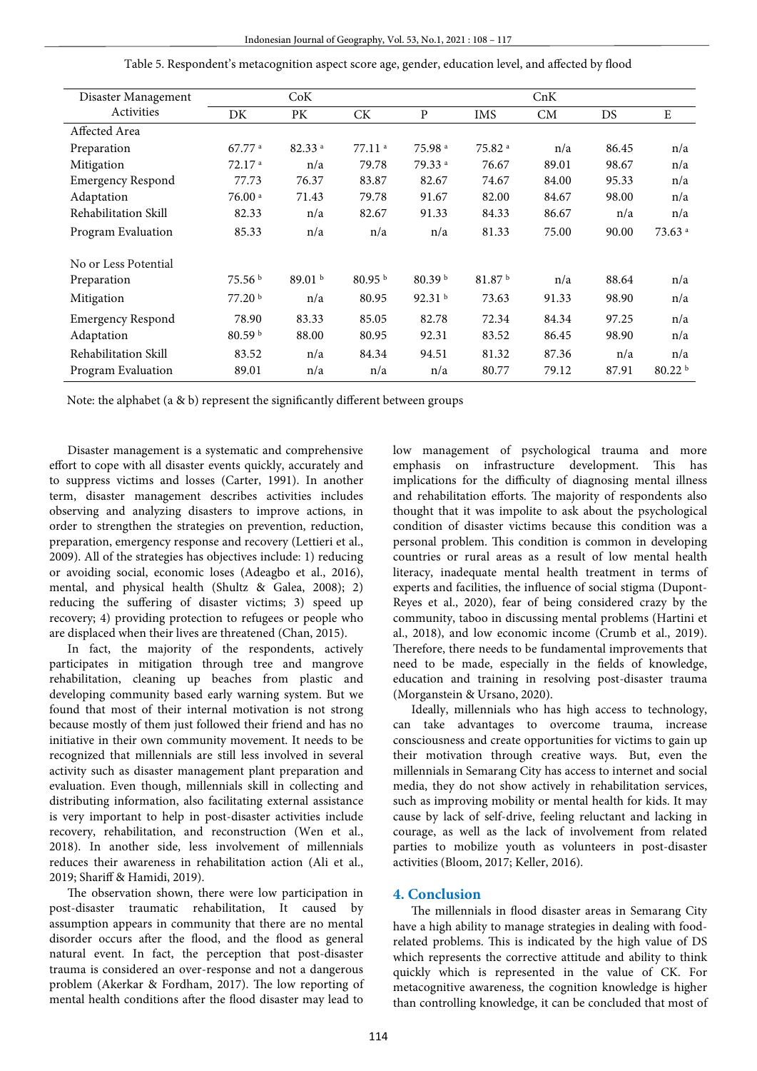| Disaster Management      |                      | CoK                |                    | CnK                |                    |           |       |                    |  |  |
|--------------------------|----------------------|--------------------|--------------------|--------------------|--------------------|-----------|-------|--------------------|--|--|
| Activities               | DK                   | PK                 | <b>CK</b>          | $\mathbf{P}$       | IMS                | <b>CM</b> | DS    | ${\bf E}$          |  |  |
| Affected Area            |                      |                    |                    |                    |                    |           |       |                    |  |  |
| Preparation              | $67.77$ <sup>a</sup> | 82.33 a            | 77.11 <sup>a</sup> | 75.98 <sup>a</sup> | 75.82 <sup>a</sup> | n/a       | 86.45 | n/a                |  |  |
| Mitigation               | 72.17 <sup>a</sup>   | n/a                | 79.78              | 79.33 <sup>a</sup> | 76.67              | 89.01     | 98.67 | n/a                |  |  |
| <b>Emergency Respond</b> | 77.73                | 76.37              | 83.87              | 82.67              | 74.67              | 84.00     | 95.33 | n/a                |  |  |
| Adaptation               | 76.00a               | 71.43              | 79.78              | 91.67              | 82.00              | 84.67     | 98.00 | n/a                |  |  |
| Rehabilitation Skill     | 82.33                | n/a                | 82.67              | 91.33              | 84.33              | 86.67     | n/a   | n/a                |  |  |
| Program Evaluation       | 85.33                | n/a                | n/a                | n/a                | 81.33              | 75.00     | 90.00 | 73.63 <sup>a</sup> |  |  |
| No or Less Potential     |                      |                    |                    |                    |                    |           |       |                    |  |  |
| Preparation              | 75.56 <sup>b</sup>   | 89.01 <sup>b</sup> | 80.95 <sup>b</sup> | 80.39 <sup>b</sup> | 81.87 b            | n/a       | 88.64 | n/a                |  |  |
| Mitigation               | 77.20 <sup>b</sup>   | n/a                | 80.95              | 92.31 <sup>b</sup> | 73.63              | 91.33     | 98.90 | n/a                |  |  |
| <b>Emergency Respond</b> | 78.90                | 83.33              | 85.05              | 82.78              | 72.34              | 84.34     | 97.25 | n/a                |  |  |
| Adaptation               | 80.59 <sup>b</sup>   | 88.00              | 80.95              | 92.31              | 83.52              | 86.45     | 98.90 | n/a                |  |  |
| Rehabilitation Skill     | 83.52                | n/a                | 84.34              | 94.51              | 81.32              | 87.36     | n/a   | n/a                |  |  |
| Program Evaluation       | 89.01                | n/a                | n/a                | n/a                | 80.77              | 79.12     | 87.91 | 80.22 <sup>b</sup> |  |  |

Table 5. Respondent's metacognition aspect score age, gender, education level, and affected by flood

Note: the alphabet (a & b) represent the significantly different between groups

Disaster management is a systematic and comprehensive effort to cope with all disaster events quickly, accurately and to suppress victims and losses (Carter, 1991). In another term, disaster management describes activities includes observing and analyzing disasters to improve actions, in order to strengthen the strategies on prevention, reduction, preparation, emergency response and recovery (Lettieri et al., 2009). All of the strategies has objectives include: 1) reducing or avoiding social, economic loses (Adeagbo et al., 2016), mental, and physical health (Shultz & Galea, 2008); 2) reducing the suffering of disaster victims; 3) speed up recovery; 4) providing protection to refugees or people who are displaced when their lives are threatened (Chan, 2015).

In fact, the majority of the respondents, actively participates in mitigation through tree and mangrove rehabilitation, cleaning up beaches from plastic and developing community based early warning system. But we found that most of their internal motivation is not strong because mostly of them just followed their friend and has no initiative in their own community movement. It needs to be recognized that millennials are still less involved in several activity such as disaster management plant preparation and evaluation. Even though, millennials skill in collecting and distributing information, also facilitating external assistance is very important to help in post-disaster activities include recovery, rehabilitation, and reconstruction (Wen et al., 2018). In another side, less involvement of millennials reduces their awareness in rehabilitation action (Ali et al., 2019; Shariff & Hamidi, 2019).

The observation shown, there were low participation in post-disaster traumatic rehabilitation, It caused by assumption appears in community that there are no mental disorder occurs after the flood, and the flood as general natural event. In fact, the perception that post-disaster trauma is considered an over-response and not a dangerous problem (Akerkar & Fordham, 2017). The low reporting of mental health conditions after the flood disaster may lead to

low management of psychological trauma and more emphasis on infrastructure development. This has implications for the difficulty of diagnosing mental illness and rehabilitation efforts. The majority of respondents also thought that it was impolite to ask about the psychological condition of disaster victims because this condition was a personal problem. This condition is common in developing countries or rural areas as a result of low mental health literacy, inadequate mental health treatment in terms of experts and facilities, the influence of social stigma (Dupont-Reyes et al., 2020), fear of being considered crazy by the community, taboo in discussing mental problems (Hartini et al., 2018), and low economic income (Crumb et al., 2019). Therefore, there needs to be fundamental improvements that need to be made, especially in the fields of knowledge, education and training in resolving post-disaster trauma (Morganstein & Ursano, 2020).

Ideally, millennials who has high access to technology, can take advantages to overcome trauma, increase consciousness and create opportunities for victims to gain up their motivation through creative ways. But, even the millennials in Semarang City has access to internet and social media, they do not show actively in rehabilitation services, such as improving mobility or mental health for kids. It may cause by lack of self-drive, feeling reluctant and lacking in courage, as well as the lack of involvement from related parties to mobilize youth as volunteers in post-disaster activities (Bloom, 2017; Keller, 2016).

# **4. Conclusion**

The millennials in flood disaster areas in Semarang City have a high ability to manage strategies in dealing with foodrelated problems. This is indicated by the high value of DS which represents the corrective attitude and ability to think quickly which is represented in the value of CK. For metacognitive awareness, the cognition knowledge is higher than controlling knowledge, it can be concluded that most of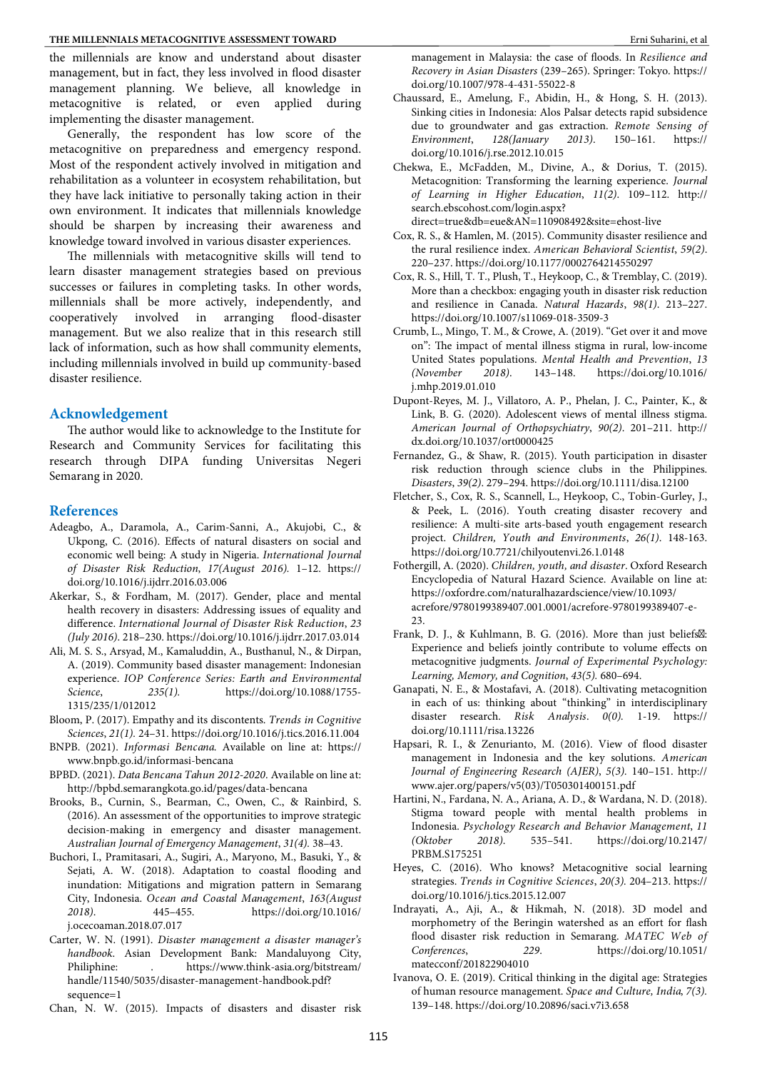the millennials are know and understand about disaster management, but in fact, they less involved in flood disaster management planning. We believe, all knowledge in metacognitive is related, or even applied during implementing the disaster management.

Generally, the respondent has low score of the metacognitive on preparedness and emergency respond. Most of the respondent actively involved in mitigation and rehabilitation as a volunteer in ecosystem rehabilitation, but they have lack initiative to personally taking action in their own environment. It indicates that millennials knowledge should be sharpen by increasing their awareness and knowledge toward involved in various disaster experiences.

The millennials with metacognitive skills will tend to learn disaster management strategies based on previous successes or failures in completing tasks. In other words, millennials shall be more actively, independently, and cooperatively involved in arranging flood-disaster management. But we also realize that in this research still lack of information, such as how shall community elements, including millennials involved in build up community-based disaster resilience.

#### **Acknowledgement**

The author would like to acknowledge to the Institute for Research and Community Services for facilitating this research through DIPA funding Universitas Negeri Semarang in 2020.

#### **References**

- Adeagbo, A., Daramola, A., Carim-Sanni, A., Akujobi, C., & Ukpong, C. (2016). Effects of natural disasters on social and economic well being: A study in Nigeria. *International Journal of Disaster Risk Reduction*, *17(August 2016).* 1–12. https:// doi.org/10.1016/j.ijdrr.2016.03.006
- Akerkar, S., & Fordham, M. (2017). Gender, place and mental health recovery in disasters: Addressing issues of equality and difference. *International Journal of Disaster Risk Reduction*, *23 (July 2016)*. 218–230. https://doi.org/10.1016/j.ijdrr.2017.03.014
- Ali, M. S. S., Arsyad, M., Kamaluddin, A., Busthanul, N., & Dirpan, A. (2019). Community based disaster management: Indonesian experience. *IOP Conference Series: Earth and Environmental Science*, *235(1).* https://doi.org/10.1088/1755- 1315/235/1/012012
- Bloom, P. (2017). Empathy and its discontents. *Trends in Cognitive Sciences*, *21(1).* 24–31. https://doi.org/10.1016/j.tics.2016.11.004
- BNPB. (2021). *Informasi Bencana*. Available on line at: https:// www.bnpb.go.id/informasi-bencana
- BPBD. (2021). *Data Bencana Tahun 2012-2020*. Available on line at: http://bpbd.semarangkota.go.id/pages/data-bencana
- Brooks, B., Curnin, S., Bearman, C., Owen, C., & Rainbird, S. (2016). An assessment of the opportunities to improve strategic decision-making in emergency and disaster management. *Australian Journal of Emergency Management*, *31(4).* 38–43.
- Buchori, I., Pramitasari, A., Sugiri, A., Maryono, M., Basuki, Y., & Sejati, A. W. (2018). Adaptation to coastal flooding and inundation: Mitigations and migration pattern in Semarang City, Indonesia. *Ocean and Coastal Management*, *163(August 2018)*. 445–455. https://doi.org/10.1016/ j.ocecoaman.2018.07.017
- Carter, W. N. (1991). *Disaster management a disaster manager's handbook*. Asian Development Bank: Mandaluyong City, Philiphine: . https://www.think-asia.org/bitstream/ handle/11540/5035/disaster-management-handbook.pdf? sequence=1
- Chan, N. W. (2015). Impacts of disasters and disaster risk

management in Malaysia: the case of floods. In *Resilience and Recovery in Asian Disasters* (239–265). Springer: Tokyo. https:// doi.org/10.1007/978-4-431-55022-8

- Chaussard, E., Amelung, F., Abidin, H., & Hong, S. H. (2013). Sinking cities in Indonesia: Alos Palsar detects rapid subsidence due to groundwater and gas extraction. *Remote Sensing of Environment*, *128(January 2013)*. 150–161. https:// doi.org/10.1016/j.rse.2012.10.015
- Chekwa, E., McFadden, M., Divine, A., & Dorius, T. (2015). Metacognition: Transforming the learning experience. *Journal of Learning in Higher Education*, *11(2)*. 109–112. http:// search.ebscohost.com/login.aspx?
- direct=true&db=eue&AN=110908492&site=ehost-live Cox, R. S., & Hamlen, M. (2015). Community disaster resilience and the rural resilience index. *American Behavioral Scientist*, *59(2)*. 220–237. https://doi.org/10.1177/0002764214550297
- Cox, R. S., Hill, T. T., Plush, T., Heykoop, C., & Tremblay, C. (2019). More than a checkbox: engaging youth in disaster risk reduction and resilience in Canada. *Natural Hazards*, *98(1)*. 213–227. https://doi.org/10.1007/s11069-018-3509-3
- Crumb, L., Mingo, T. M., & Crowe, A. (2019). "Get over it and move on": The impact of mental illness stigma in rural, low-income United States populations. *Mental Health and Prevention*, *13 (November 2018)*. 143–148. https://doi.org/10.1016/ j.mhp.2019.01.010
- Dupont-Reyes, M. J., Villatoro, A. P., Phelan, J. C., Painter, K., & Link, B. G. (2020). Adolescent views of mental illness stigma. *American Journal of Orthopsychiatry*, *90(2)*. 201–211. http:// dx.doi.org/10.1037/ort0000425
- Fernandez, G., & Shaw, R. (2015). Youth participation in disaster risk reduction through science clubs in the Philippines. *Disasters*, *39(2)*. 279–294. https://doi.org/10.1111/disa.12100
- Fletcher, S., Cox, R. S., Scannell, L., Heykoop, C., Tobin-Gurley, J., & Peek, L. (2016). Youth creating disaster recovery and resilience: A multi-site arts-based youth engagement research project. *Children, Youth and Environments*, *26(1)*. 148-163. https://doi.org/10.7721/chilyoutenvi.26.1.0148
- Fothergill, A. (2020). *Children, youth, and disaster*. Oxford Research Encyclopedia of Natural Hazard Science. Available on line at: https://oxfordre.com/naturalhazardscience/view/10.1093/ acrefore/9780199389407.001.0001/acrefore-9780199389407-e-23.
- Frank, D. J., & Kuhlmann, B. G. (2016). More than just beliefs. Experience and beliefs jointly contribute to volume effects on metacognitive judgments. *Journal of Experimental Psychology: Learning, Memory, and Cognition*, *43(5).* 680–694.
- Ganapati, N. E., & Mostafavi, A. (2018). Cultivating metacognition in each of us: thinking about "thinking" in interdisciplinary disaster research. *Risk Analysis*. *0(0).* 1-19. https:// doi.org/10.1111/risa.13226
- Hapsari, R. I., & Zenurianto, M. (2016). View of flood disaster management in Indonesia and the key solutions. *American Journal of Engineering Research (AJER)*, *5(3).* 140–151. http:// www.ajer.org/papers/v5(03)/T050301400151.pdf
- Hartini, N., Fardana, N. A., Ariana, A. D., & Wardana, N. D. (2018). Stigma toward people with mental health problems in Indonesia. *Psychology Research and Behavior Management*, *11 (Oktober 2018)*. 535–541. https://doi.org/10.2147/ PRBM.S175251
- Heyes, C. (2016). Who knows? Metacognitive social learning strategies. *Trends in Cognitive Sciences*, *20(3).* 204–213. https:// doi.org/10.1016/j.tics.2015.12.007
- Indrayati, A., Aji, A., & Hikmah, N. (2018). 3D model and morphometry of the Beringin watershed as an effort for flash flood disaster risk reduction in Semarang. MATEC Web of *Conferences*, *229*. https://doi.org/10.1051/ matecconf/201822904010
- Ivanova, O. E. (2019). Critical thinking in the digital age: Strategies of human resource management. *Space and Culture, India*, *7(3).* 139–148. https://doi.org/10.20896/saci.v7i3.658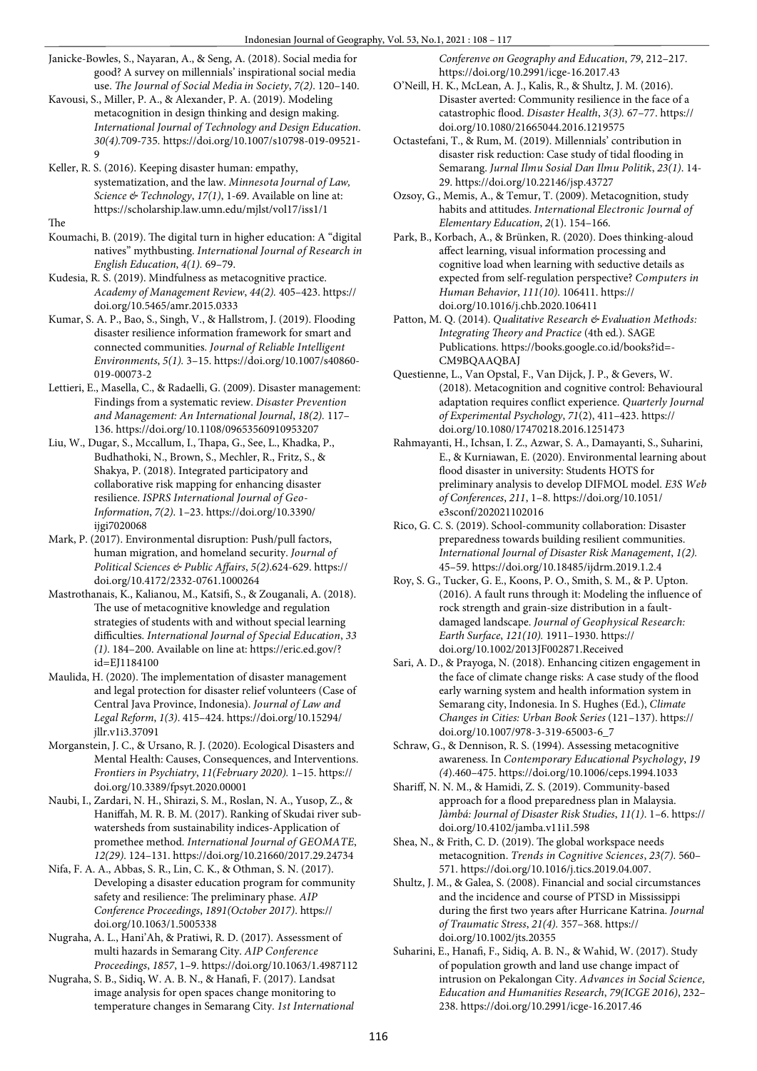- Janicke-Bowles, S., Nayaran, A., & Seng, A. (2018). Social media for good? A survey on millennials' inspirational social media use. *The Journal of Social Media in Society*, *7(2)*. 120-140.
- Kavousi, S., Miller, P. A., & Alexander, P. A. (2019). Modeling metacognition in design thinking and design making. *International Journal of Technology and Design Education*. *30(4).*709-735*.* https://doi.org/10.1007/s10798-019-09521- 9
- Keller, R. S. (2016). Keeping disaster human: empathy, systematization, and the law. *Minnesota Journal of Law, Science & Technology*, *17(1)*, 1-69. Available on line at: https://scholarship.law.umn.edu/mjlst/vol17/iss1/1

The

- Koumachi, B. (2019). The digital turn in higher education: A "digital natives" mythbusting. *International Journal of Research in English Education*, *4(1).* 69–79.
- Kudesia, R. S. (2019). Mindfulness as metacognitive practice. *Academy of Management Review*, *44(2).* 405–423. https:// doi.org/10.5465/amr.2015.0333
- Kumar, S. A. P., Bao, S., Singh, V., & Hallstrom, J. (2019). Flooding disaster resilience information framework for smart and connected communities. *Journal of Reliable Intelligent Environments*, *5(1).* 3–15. https://doi.org/10.1007/s40860- 019-00073-2
- Lettieri, E., Masella, C., & Radaelli, G. (2009). Disaster management: Findings from a systematic review. *Disaster Prevention and Management: An International Journal*, *18(2).* 117– 136. https://doi.org/10.1108/09653560910953207
- Liu, W., Dugar, S., Mccallum, I., Thapa, G., See, L., Khadka, P., Budhathoki, N., Brown, S., Mechler, R., Fritz, S., & Shakya, P. (2018). Integrated participatory and collaborative risk mapping for enhancing disaster resilience. *ISPRS International Journal of Geo-Information*, *7(2)*. 1–23. https://doi.org/10.3390/ ijgi7020068
- Mark, P. (2017). Environmental disruption: Push/pull factors, human migration, and homeland security. *Journal of Political Sciences & Public Affairs*, *5(2)*.624-629. https:// doi.org/10.4172/2332-0761.1000264
- Mastrothanais, K., Kalianou, M., Katsifi, S., & Zouganali, A. (2018). The use of metacognitive knowledge and regulation strategies of students with and without special learning difficulties. *International Journal of Special Education*, *33 (1)*. 184–200. Available on line at: https://eric.ed.gov/? id=EJ1184100
- Maulida, H. (2020). The implementation of disaster management and legal protection for disaster relief volunteers (Case of Central Java Province, Indonesia). *Journal of Law and Legal Reform*, *1(3)*. 415–424. https://doi.org/10.15294/ jllr.v1i3.37091
- Morganstein, J. C., & Ursano, R. J. (2020). Ecological Disasters and Mental Health: Causes, Consequences, and Interventions. *Frontiers in Psychiatry*, *11(February 2020).* 1–15. https:// doi.org/10.3389/fpsyt.2020.00001
- Naubi, I., Zardari, N. H., Shirazi, S. M., Roslan, N. A., Yusop, Z., & Haniffah, M. R. B. M. (2017). Ranking of Skudai river subwatersheds from sustainability indices-Application of promethee method. *International Journal of GEOMATE*, *12(29)*. 124–131. https://doi.org/10.21660/2017.29.24734
- Nifa, F. A. A., Abbas, S. R., Lin, C. K., & Othman, S. N. (2017). Developing a disaster education program for community safety and resilience: The preliminary phase. *AIP Conference Proceedings*, *1891(October 2017)*. https:// doi.org/10.1063/1.5005338
- Nugraha, A. L., Hani'Ah, & Pratiwi, R. D. (2017). Assessment of multi hazards in Semarang City. *AIP Conference Proceedings*, *1857*, 1–9. https://doi.org/10.1063/1.4987112
- Nugraha, S. B., Sidiq, W. A. B. N., & Hanafi, F. (2017). Landsat image analysis for open spaces change monitoring to temperature changes in Semarang City. *1st International*

*Conferenve on Geography and Education*, *79*, 212–217. https://doi.org/10.2991/icge-16.2017.43

- O'Neill, H. K., McLean, A. J., Kalis, R., & Shultz, J. M. (2016). Disaster averted: Community resilience in the face of a catastrophic flood. *Disaster Health*, 3(3). 67-77. https:// doi.org/10.1080/21665044.2016.1219575
- Octastefani, T., & Rum, M. (2019). Millennials' contribution in disaster risk reduction: Case study of tidal flooding in Semarang. *Jurnal Ilmu Sosial Dan Ilmu Politik*, *23(1)*. 14- 29. https://doi.org/10.22146/jsp.43727
- Ozsoy, G., Memis, A., & Temur, T. (2009). Metacognition, study habits and attitudes. *International Electronic Journal of Elementary Education*, *2*(1). 154–166.
- Park, B., Korbach, A., & Brünken, R. (2020). Does thinking-aloud affect learning, visual information processing and cognitive load when learning with seductive details as expected from self-regulation perspective? *Computers in Human Behavior*, *111(10)*. 106411. https:// doi.org/10.1016/j.chb.2020.106411
- Patton, M. Q. (2014). *Qualitative Research & Evaluation Methods:*  Integrating Theory and Practice (4th ed.). SAGE Publications. https://books.google.co.id/books?id=- CM9BQAAQBAJ
- Questienne, L., Van Opstal, F., Van Dijck, J. P., & Gevers, W. (2018). Metacognition and cognitive control: Behavioural adaptation requires conflict experience. *Quarterly Journal of Experimental Psychology*, *71*(2), 411–423. https:// doi.org/10.1080/17470218.2016.1251473
- Rahmayanti, H., Ichsan, I. Z., Azwar, S. A., Damayanti, S., Suharini, E., & Kurniawan, E. (2020). Environmental learning about flood disaster in university: Students HOTS for preliminary analysis to develop DIFMOL model. *E3S Web of Conferences*, *211*, 1–8. https://doi.org/10.1051/ e3sconf/202021102016
- Rico, G. C. S. (2019). School-community collaboration: Disaster preparedness towards building resilient communities. *International Journal of Disaster Risk Management*, *1(2).* 45–59. https://doi.org/10.18485/ijdrm.2019.1.2.4
- Roy, S. G., Tucker, G. E., Koons, P. O., Smith, S. M., & P. Upton. (2016). A fault runs through it: Modeling the influence of rock strength and grain-size distribution in a faultdamaged landscape. *Journal of Geophysical Research: Earth Surface*, *121(10).* 1911–1930. https:// doi.org/10.1002/2013JF002871.Received
- Sari, A. D., & Prayoga, N. (2018). Enhancing citizen engagement in the face of climate change risks: A case study of the flood early warning system and health information system in Semarang city, Indonesia. In S. Hughes (Ed.), *Climate Changes in Cities: Urban Book Series* (121–137). https:// doi.org/10.1007/978-3-319-65003-6\_7
- Schraw, G., & Dennison, R. S. (1994). Assessing metacognitive awareness. In *Contemporary Educational Psychology*, *19 (4*).460–475. https://doi.org/10.1006/ceps.1994.1033
- Shariff, N. N. M., & Hamidi, Z. S. (2019). Community-based approach for a flood preparedness plan in Malaysia. *Jàmbá: Journal of Disaster Risk Studies*, *11(1)*. 1–6. https:// doi.org/10.4102/jamba.v11i1.598
- Shea, N., & Frith, C. D. (2019). The global workspace needs metacognition. *Trends in Cognitive Sciences*, *23(7)*. 560– 571. https://doi.org/10.1016/j.tics.2019.04.007.
- Shultz, J. M., & Galea, S. (2008). Financial and social circumstances and the incidence and course of PTSD in Mississippi during the first two years after Hurricane Katrina. *Journal of Traumatic Stress*, *21(4).* 357–368. https:// doi.org/10.1002/jts.20355
- Suharini, E., Hanafi, F., Sidiq, A. B. N., & Wahid, W. (2017). Study of population growth and land use change impact of intrusion on Pekalongan City. *Advances in Social Science, Education and Humanities Research*, *79(ICGE 2016)*, 232– 238. https://doi.org/10.2991/icge-16.2017.46